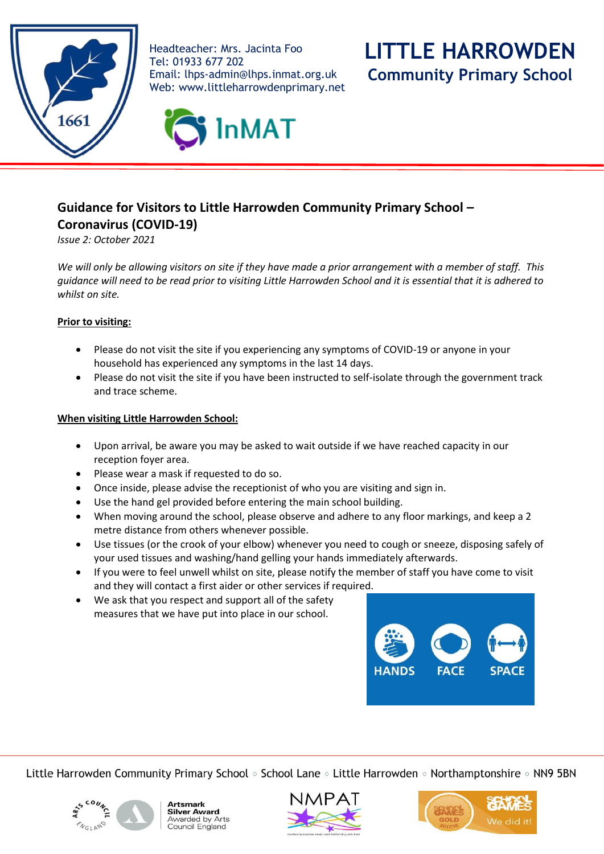

Headteacher: Mrs. Jacinta Foo Tel: 01933 677 202 Email: [lhps-admin@lhps.inmat.org.uk](mailto:lhps-admin@lhps.inmat.org.uk) Web: www.littleharrowdenprimary.net



**Community Primary School**



## **Guidance for Visitors to Little Harrowden Community Primary School –**

**Coronavirus (COVID-19)**

*Issue 2: October 2021*

*We will only be allowing visitors on site if they have made a prior arrangement with a member of staff. This guidance will need to be read prior to visiting Little Harrowden School and it is essential that it is adhered to whilst on site.*

## **Prior to visiting:**

- Please do not visit the site if you experiencing any symptoms of COVID-19 or anyone in your household has experienced any symptoms in the last 14 days.
- Please do not visit the site if you have been instructed to self-isolate through the government track and trace scheme.

## **When visiting Little Harrowden School:**

- Upon arrival, be aware you may be asked to wait outside if we have reached capacity in our reception foyer area.
- Please wear a mask if requested to do so.
- Once inside, please advise the receptionist of who you are visiting and sign in.
- Use the hand gel provided before entering the main school building.
- When moving around the school, please observe and adhere to any floor markings, and keep a 2 metre distance from others whenever possible.
- Use tissues (or the crook of your elbow) whenever you need to cough or sneeze, disposing safely of your used tissues and washing/hand gelling your hands immediately afterwards.
- If you were to feel unwell whilst on site, please notify the member of staff you have come to visit and they will contact a first aider or other services if required.
- We ask that you respect and support all of the safety measures that we have put into place in our school.



Little Harrowden Community Primary School  $\circ$  School Lane  $\circ$  Little Harrowden  $\circ$  Northamptonshire  $\circ$  NN9 5BN